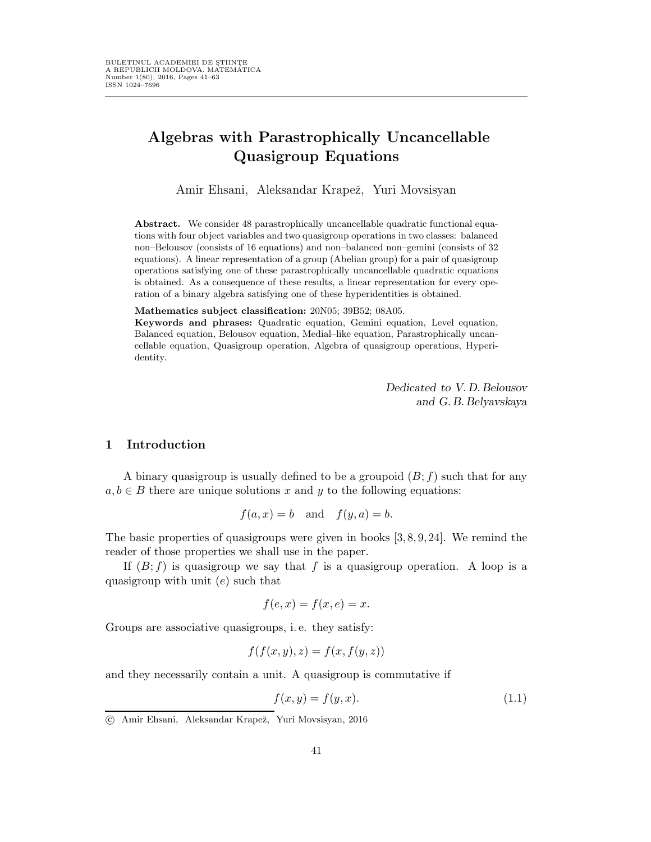# Algebras with Parastrophically Uncancellable Quasigroup Equations

Amir Ehsani, Aleksandar Krapež, Yuri Movsisyan

Abstract. We consider 48 parastrophically uncancellable quadratic functional equations with four object variables and two quasigroup operations in two classes: balanced non–Belousov (consists of 16 equations) and non–balanced non–gemini (consists of 32 equations). A linear representation of a group (Abelian group) for a pair of quasigroup operations satisfying one of these parastrophically uncancellable quadratic equations is obtained. As a consequence of these results, a linear representation for every operation of a binary algebra satisfying one of these hyperidentities is obtained.

#### Mathematics subject classification: 20N05; 39B52; 08A05.

Keywords and phrases: Quadratic equation, Gemini equation, Level equation, Balanced equation, Belousov equation, Medial–like equation, Parastrophically uncancellable equation, Quasigroup operation, Algebra of quasigroup operations, Hyperidentity.

> Dedicated to V.D. Belousov and G. B. Belyavskaya

#### 1 Introduction

A binary quasigroup is usually defined to be a groupoid  $(B; f)$  such that for any  $a, b \in B$  there are unique solutions x and y to the following equations:

$$
f(a, x) = b \quad \text{and} \quad f(y, a) = b.
$$

The basic properties of quasigroups were given in books  $[3, 8, 9, 24]$ . We remind the reader of those properties we shall use in the paper.

If  $(B; f)$  is quasigroup we say that f is a quasigroup operation. A loop is a quasigroup with unit  $(e)$  such that

$$
f(e, x) = f(x, e) = x.
$$

Groups are associative quasigroups, i. e. they satisfy:

$$
f(f(x, y), z) = f(x, f(y, z))
$$

and they necessarily contain a unit. A quasigroup is commutative if

$$
f(x,y) = f(y,x). \tag{1.1}
$$

c Amir Ehsani, Aleksandar Krapeˇz, Yuri Movsisyan, 2016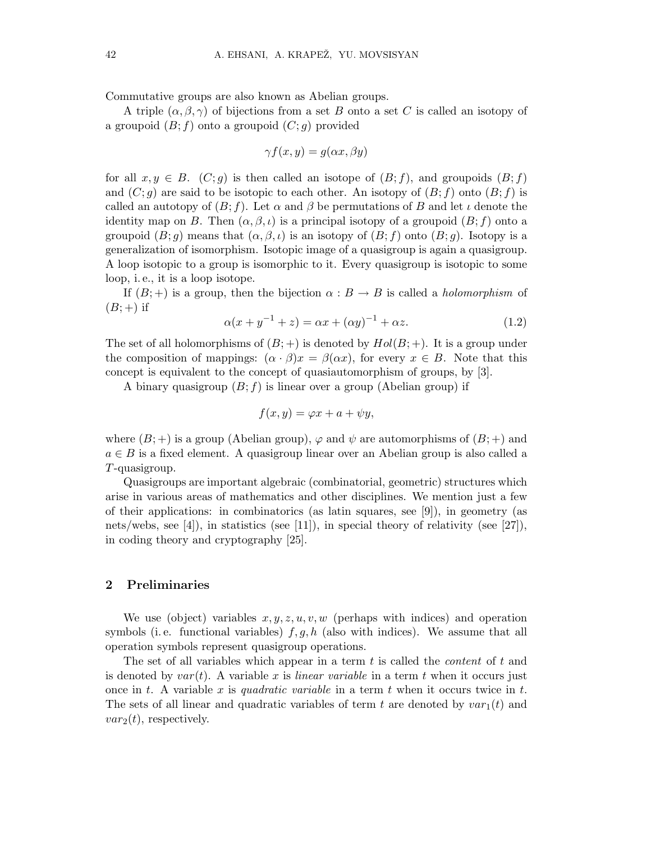Commutative groups are also known as Abelian groups.

A triple  $(\alpha, \beta, \gamma)$  of bijections from a set B onto a set C is called an isotopy of a groupoid  $(B; f)$  onto a groupoid  $(C; q)$  provided

$$
\gamma f(x, y) = g(\alpha x, \beta y)
$$

for all  $x,y \in B$ .  $(C;g)$  is then called an isotope of  $(B;f)$ , and groupoids  $(B;f)$ and  $(C; g)$  are said to be isotopic to each other. An isotopy of  $(B; f)$  onto  $(B; f)$  is called an autotopy of  $(B; f)$ . Let  $\alpha$  and  $\beta$  be permutations of B and let  $\iota$  denote the identity map on B. Then  $(\alpha, \beta, \iota)$  is a principal isotopy of a groupoid  $(B; f)$  onto a groupoid  $(B; g)$  means that  $(\alpha, \beta, \iota)$  is an isotopy of  $(B; f)$  onto  $(B; g)$ . Isotopy is a generalization of isomorphism. Isotopic image of a quasigroup is again a quasigroup. A loop isotopic to a group is isomorphic to it. Every quasigroup is isotopic to some loop, i. e., it is a loop isotope.

If  $(B;+)$  is a group, then the bijection  $\alpha : B \to B$  is called a *holomorphism* of  $(B;+)$  if

$$
\alpha(x + y^{-1} + z) = \alpha x + (\alpha y)^{-1} + \alpha z.
$$
 (1.2)

The set of all holomorphisms of  $(B; +)$  is denoted by  $Hol(B; +)$ . It is a group under the composition of mappings:  $(\alpha \cdot \beta)x = \beta(\alpha x)$ , for every  $x \in B$ . Note that this concept is equivalent to the concept of quasiautomorphism of groups, by [3].

A binary quasigroup  $(B; f)$  is linear over a group (Abelian group) if

$$
f(x,y) = \varphi x + a + \psi y,
$$

where  $(B; +)$  is a group (Abelian group),  $\varphi$  and  $\psi$  are automorphisms of  $(B; +)$  and  $a \in B$  is a fixed element. A quasigroup linear over an Abelian group is also called a T-quasigroup.

Quasigroups are important algebraic (combinatorial, geometric) structures which arise in various areas of mathematics and other disciplines. We mention just a few of their applications: in combinatorics (as latin squares, see [9]), in geometry (as nets/webs, see [4]), in statistics (see [11]), in special theory of relativity (see [27]), in coding theory and cryptography [25].

### 2 Preliminaries

We use (object) variables  $x, y, z, u, v, w$  (perhaps with indices) and operation symbols (i.e. functional variables)  $f, g, h$  (also with indices). We assume that all operation symbols represent quasigroup operations.

The set of all variables which appear in a term  $t$  is called the *content* of  $t$  and is denoted by  $var(t)$ . A variable x is linear variable in a term t when it occurs just once in t. A variable x is quadratic variable in a term t when it occurs twice in t. The sets of all linear and quadratic variables of term t are denoted by  $var_1(t)$  and  $var_2(t)$ , respectively.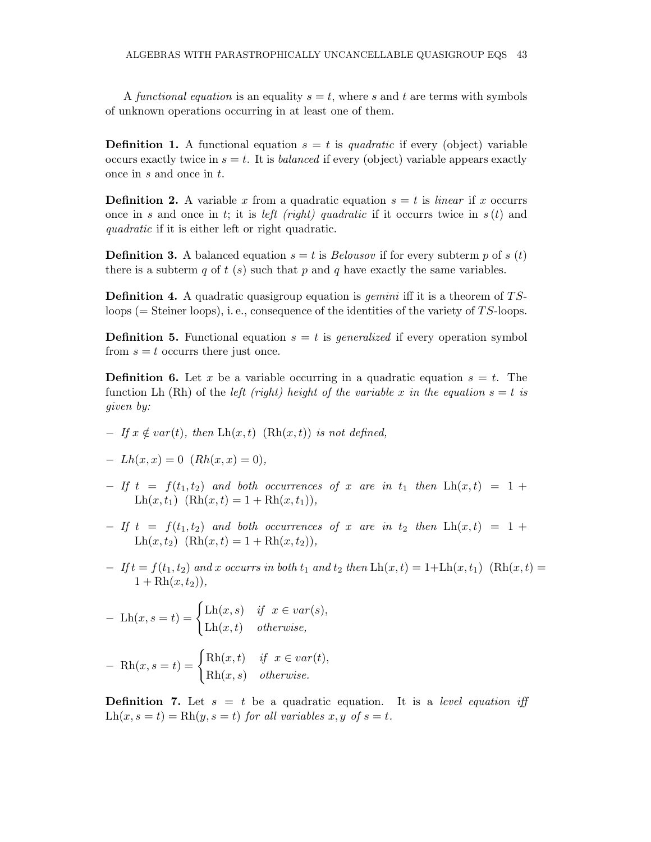A functional equation is an equality  $s = t$ , where s and t are terms with symbols of unknown operations occurring in at least one of them.

**Definition 1.** A functional equation  $s = t$  is quadratic if every (object) variable occurs exactly twice in  $s = t$ . It is *balanced* if every (object) variable appears exactly once in s and once in t.

**Definition 2.** A variable x from a quadratic equation  $s = t$  is *linear* if x occurrs once in s and once in t; it is *left (right) quadratic* if it occurrs twice in  $s(t)$  and quadratic if it is either left or right quadratic.

**Definition 3.** A balanced equation  $s = t$  is *Belousov* if for every subterm p of s (t) there is a subterm q of t (s) such that p and q have exactly the same variables.

**Definition 4.** A quadratic quasigroup equation is *gemini* iff it is a theorem of  $TS$ loops ( $=$  Steiner loops), i.e., consequence of the identities of the variety of TS-loops.

**Definition 5.** Functional equation  $s = t$  is *generalized* if every operation symbol from  $s = t$  occurrs there just once.

**Definition 6.** Let x be a variable occurring in a quadratic equation  $s = t$ . The function Lh (Rh) of the *left (right)* height of the variable x in the equation  $s = t$  is given by:

 $-If x \notin var(t)$ , then  $Lh(x,t)$  (Rh $(x,t)$ ) is not defined,

$$
- Lh(x, x) = 0 (Rh(x, x) = 0),
$$

- $-$  If t =  $f(t_1,t_2)$  and both occurrences of x are in  $t_1$  then  $\text{Lh}(x,t) = 1 +$  $\text{Lh}(x,t_1)$   $(\text{Rh}(x,t) = 1 + \text{Rh}(x,t_1)),$
- $-$  If t =  $f(t_1,t_2)$  and both occurrences of x are in  $t_2$  then  $\text{Lh}(x,t) = 1 +$ Lh $(x,t_2)$   $(\text{Rh}(x,t) = 1 + \text{Rh}(x,t_2)),$
- $-Ift = f(t_1, t_2)$  and x occurrs in both  $t_1$  and  $t_2$  then  $\text{Lh}(x, t) = 1 + \text{Lh}(x, t_1)$  (Rh(x, t) =  $1 + Rh(x, t_2)$ ,

$$
-\ \text{Lh}(x, s = t) = \begin{cases} \text{Lh}(x, s) & \text{if } x \in \text{var}(s), \\ \text{Lh}(x, t) & \text{otherwise,} \end{cases}
$$

$$
-\operatorname{Rh}(x, s=t) = \begin{cases} \operatorname{Rh}(x, t) & \text{if } x \in \operatorname{var}(t), \\ \operatorname{Rh}(x, s) & \text{otherwise.} \end{cases}
$$

**Definition 7.** Let  $s = t$  be a quadratic equation. It is a *level equation iff*  $\text{Lh}(x,s=t) = \text{Rh}(y,s=t)$  for all variables  $x,y$  of  $s=t$ .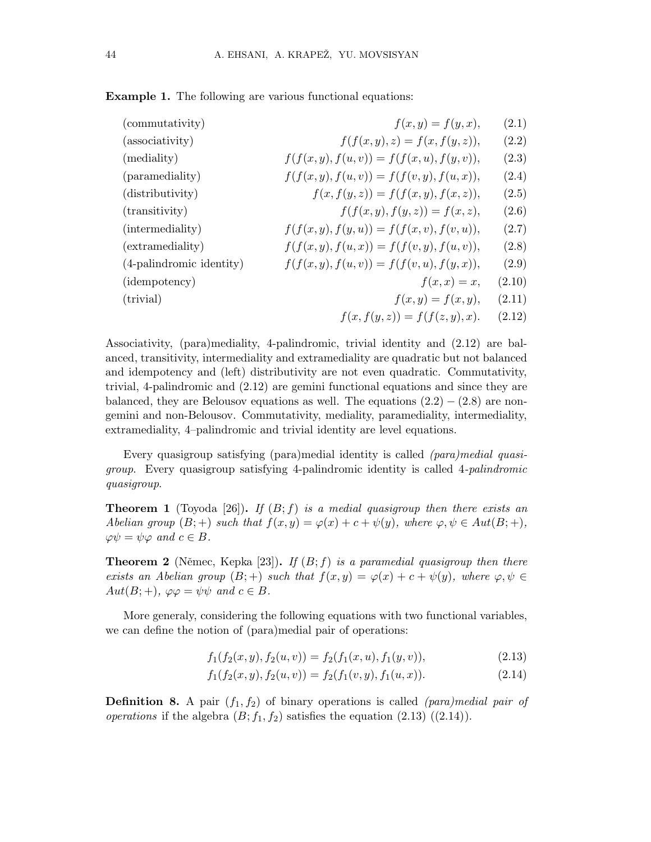Example 1. The following are various functional equations:

| (commutativity)          | $f(x,y) = f(y,x),$                           | (2.1)  |
|--------------------------|----------------------------------------------|--------|
| (associativity)          | $f(f(x, y), z) = f(x, f(y, z)),$             | (2.2)  |
| (mediality)              | $f(f(x, y), f(u, v)) = f(f(x, u), f(y, v)),$ | (2.3)  |
| (paramediality)          | $f(f(x, y), f(u, v)) = f(f(v, y), f(u, x)),$ | (2.4)  |
| (distributivity)         | $f(x, f(y, z)) = f(f(x, y), f(x, z)),$       | (2.5)  |
| (transitivity)           | $f(f(x, y), f(y, z)) = f(x, z),$             | (2.6)  |
| (intermediality)         | $f(f(x, y), f(y, u)) = f(f(x, v), f(v, u)),$ | (2.7)  |
| (extramediality)         | $f(f(x, y), f(u, x)) = f(f(v, y), f(u, v)),$ | (2.8)  |
| (4-palindromic identity) | $f(f(x, y), f(u, v)) = f(f(v, u), f(y, x)),$ | (2.9)  |
| (idempotency)            | $f(x, x) = x,$                               | (2.10) |
| (trivial)                | $f(x,y) = f(x,y),$                           | (2.11) |
|                          | $f(x, f(y, z)) = f(f(z, y), x).$             | (2.12) |

Associativity, (para)mediality, 4-palindromic, trivial identity and (2.12) are balanced, transitivity, intermediality and extramediality are quadratic but not balanced and idempotency and (left) distributivity are not even quadratic. Commutativity, trivial, 4-palindromic and (2.12) are gemini functional equations and since they are balanced, they are Belousov equations as well. The equations  $(2.2) - (2.8)$  are nongemini and non-Belousov. Commutativity, mediality, paramediality, intermediality, extramediality, 4–palindromic and trivial identity are level equations.

Every quasigroup satisfying (para)medial identity is called (para)medial quasigroup. Every quasigroup satisfying 4-palindromic identity is called 4-palindromic quasigroup.

**Theorem 1** (Toyoda [26]). If  $(B; f)$  is a medial quasigroup then there exists an Abelian group  $(B;+)$  such that  $f(x,y) = \varphi(x) + c + \psi(y)$ , where  $\varphi, \psi \in Aut(B;+)$ ,  $\varphi \psi = \psi \varphi$  and  $c \in B$ .

**Theorem 2** (Němec, Kepka [23]). If  $(B; f)$  is a paramedial quasigroup then there exists an Abelian group  $(B;+)$  such that  $f(x,y) = \varphi(x) + c + \psi(y)$ , where  $\varphi, \psi \in$  $Aut(B; +), \ \varphi \varphi = \psi \psi \ \text{and} \ c \in B.$ 

More generaly, considering the following equations with two functional variables, we can define the notion of (para)medial pair of operations:

$$
f_1(f_2(x, y), f_2(u, v)) = f_2(f_1(x, u), f_1(y, v)),
$$
\n(2.13)

$$
f_1(f_2(x, y), f_2(u, v)) = f_2(f_1(v, y), f_1(u, x)).
$$
\n(2.14)

**Definition 8.** A pair  $(f_1, f_2)$  of binary operations is called *(para)medial pair of operations* if the algebra  $(B; f_1, f_2)$  satisfies the equation  $(2.13)$   $((2.14))$ .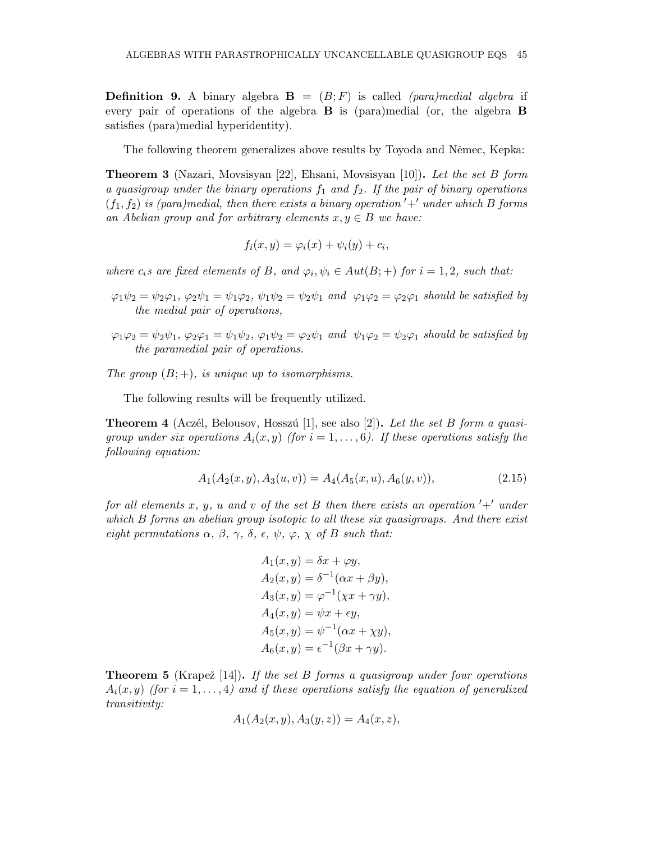**Definition 9.** A binary algebra  $\mathbf{B} = (B; F)$  is called *(para)medial algebra* if every pair of operations of the algebra B is (para)medial (or, the algebra B satisfies (para)medial hyperidentity).

The following theorem generalizes above results by Toyoda and Němec, Kepka:

Theorem 3 (Nazari, Movsisyan [22], Ehsani, Movsisyan [10]). Let the set B form a quasigroup under the binary operations  $f_1$  and  $f_2$ . If the pair of binary operations  $(f_1,f_2)$  is (para)medial, then there exists a binary operation  $'+'$  under which B forms an Abelian group and for arbitrary elements  $x, y \in B$  we have:

$$
f_i(x, y) = \varphi_i(x) + \psi_i(y) + c_i,
$$

where  $c_i$ s are fixed elements of B, and  $\varphi_i, \psi_i \in Aut(B;+)$  for  $i = 1, 2$ , such that:

- $\varphi_1\psi_2 = \psi_2\varphi_1$ ,  $\varphi_2\psi_1 = \psi_1\varphi_2$ ,  $\psi_1\psi_2 = \psi_2\psi_1$  and  $\varphi_1\varphi_2 = \varphi_2\varphi_1$  should be satisfied by the medial pair of operations,
- $\varphi_1\varphi_2 = \psi_2\psi_1, \varphi_2\varphi_1 = \psi_1\psi_2, \varphi_1\psi_2 = \varphi_2\psi_1$  and  $\psi_1\varphi_2 = \psi_2\varphi_1$  should be satisfied by the paramedial pair of operations.

The group  $(B; +)$ , is unique up to isomorphisms.

The following results will be frequently utilized.

**Theorem 4** (Aczél, Belousov, Hosszú [1], see also [2]). Let the set B form a quasigroup under six operations  $A_i(x, y)$  (for  $i = 1, ..., 6$ ). If these operations satisfy the following equation:

$$
A_1(A_2(x, y), A_3(u, v)) = A_4(A_5(x, u), A_6(y, v)), \tag{2.15}
$$

for all elements x, y, u and v of the set B then there exists an operation  $'+'$  under which B forms an abelian group isotopic to all these six quasigroups. And there exist eight permutations  $\alpha$ ,  $\beta$ ,  $\gamma$ ,  $\delta$ ,  $\epsilon$ ,  $\psi$ ,  $\varphi$ ,  $\chi$  of B such that:

$$
A_1(x, y) = \delta x + \varphi y,
$$
  
\n
$$
A_2(x, y) = \delta^{-1}(\alpha x + \beta y),
$$
  
\n
$$
A_3(x, y) = \varphi^{-1}(\chi x + \gamma y),
$$
  
\n
$$
A_4(x, y) = \psi x + \epsilon y,
$$
  
\n
$$
A_5(x, y) = \psi^{-1}(\alpha x + \chi y),
$$
  
\n
$$
A_6(x, y) = \epsilon^{-1}(\beta x + \gamma y).
$$

**Theorem 5** (Krapež [14]). If the set B forms a quasigroup under four operations  $A_i(x, y)$  (for  $i = 1, \ldots, 4$ ) and if these operations satisfy the equation of generalized transitivity:

$$
A_1(A_2(x, y), A_3(y, z)) = A_4(x, z),
$$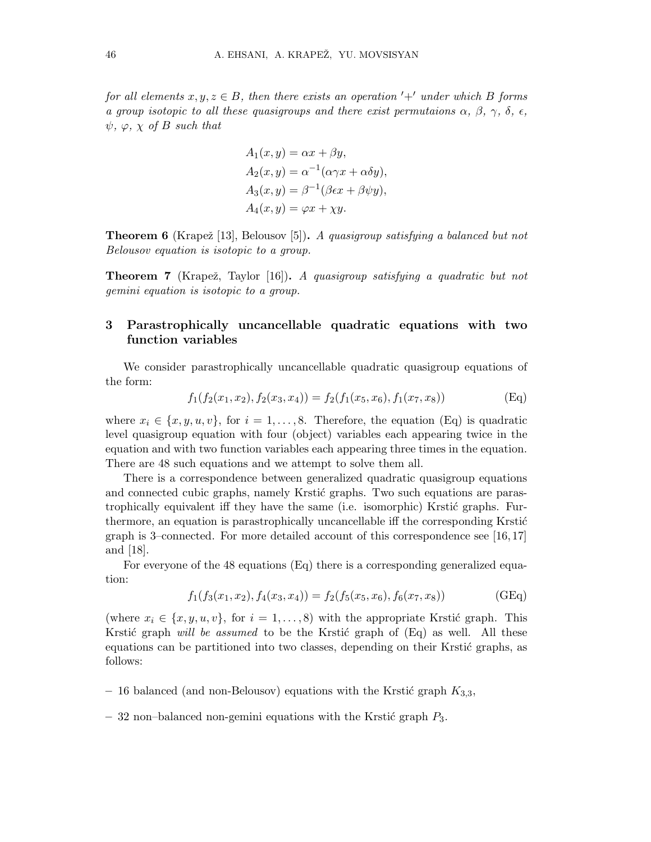for all elements  $x, y, z \in B$ , then there exists an operation '+' under which B forms a group isotopic to all these quasigroups and there exist permutaions  $\alpha$ ,  $\beta$ ,  $\gamma$ ,  $\delta$ ,  $\epsilon$ ,  $\psi$ ,  $\varphi$ ,  $\chi$  of B such that

$$
A_1(x, y) = \alpha x + \beta y,
$$
  
\n
$$
A_2(x, y) = \alpha^{-1}(\alpha \gamma x + \alpha \delta y),
$$
  
\n
$$
A_3(x, y) = \beta^{-1}(\beta \epsilon x + \beta \psi y),
$$
  
\n
$$
A_4(x, y) = \varphi x + \chi y.
$$

**Theorem 6** (Krapež [13], Belousov [5]). A quasigroup satisfying a balanced but not Belousov equation is isotopic to a group.

**Theorem 7** (Krapež, Taylor [16]). A quasigroup satisfying a quadratic but not gemini equation is isotopic to a group.

# 3 Parastrophically uncancellable quadratic equations with two function variables

We consider parastrophically uncancellable quadratic quasigroup equations of the form:

$$
f_1(f_2(x_1, x_2), f_2(x_3, x_4)) = f_2(f_1(x_5, x_6), f_1(x_7, x_8))
$$
(Eq)

where  $x_i \in \{x, y, u, v\}$ , for  $i = 1, \ldots, 8$ . Therefore, the equation (Eq) is quadratic level quasigroup equation with four (object) variables each appearing twice in the equation and with two function variables each appearing three times in the equation. There are 48 such equations and we attempt to solve them all.

There is a correspondence between generalized quadratic quasigroup equations and connected cubic graphs, namely Krstić graphs. Two such equations are parastrophically equivalent iff they have the same (i.e. isomorphic) Krstić graphs. Furthermore, an equation is parastrophically uncancellable iff the corresponding Krstić graph is 3–connected. For more detailed account of this correspondence see [16, 17] and [18].

For everyone of the 48 equations (Eq) there is a corresponding generalized equation:

$$
f_1(f_3(x_1, x_2), f_4(x_3, x_4)) = f_2(f_5(x_5, x_6), f_6(x_7, x_8))
$$
(GEq)

(where  $x_i \in \{x, y, u, v\}$ , for  $i = 1, \ldots, 8$ ) with the appropriate Krstić graph. This Krstić graph *will be assumed* to be the Krstić graph of  $(Eq)$  as well. All these equations can be partitioned into two classes, depending on their Krstić graphs, as follows:

- 16 balanced (and non-Belousov) equations with the Krstić graph  $K_{3,3}$ ,
- 32 non–balanced non-gemini equations with the Krstić graph  $P_3$ .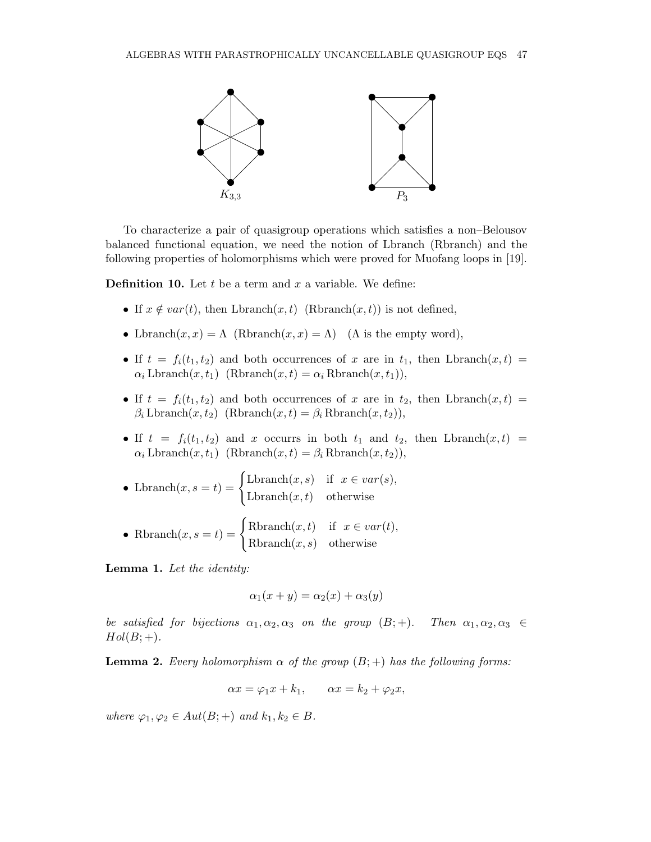

To characterize a pair of quasigroup operations which satisfies a non–Belousov balanced functional equation, we need the notion of Lbranch (Rbranch) and the following properties of holomorphisms which were proved for Muofang loops in [19].

**Definition 10.** Let t be a term and x a variable. We define:

- If  $x \notin var(t)$ , then  $Lbranch(x,t)$  (Rbranch $(x,t)$ ) is not defined,
- Lbranch $(x, x) = \Lambda$  (Rbranch $(x, x) = \Lambda$ ) ( $\Lambda$  is the empty word),
- If  $t = f_i(t_1, t_2)$  and both occurrences of x are in  $t_1$ , then Lbranch $(x, t)$  =  $\alpha_i$  Lbranch $(x,t_1)$  (Rbranch $(x,t) = \alpha_i$  Rbranch $(x,t_1)$ ),
- If  $t = f_i(t_1, t_2)$  and both occurrences of x are in  $t_2$ , then Lbranch $(x, t)$  $\beta_i$  Lbranch $(x,t_2)$  (Rbranch $(x,t) = \beta_i$  Rbranch $(x,t_2)$ ),
- If  $t = f_i(t_1, t_2)$  and x occurrs in both  $t_1$  and  $t_2$ , then Lbranch $(x, t)$  =  $\alpha_i$  Lbranch $(x,t_1)$  (Rbranch $(x,t) = \beta_i$  Rbranch $(x,t_2)$ ),

• Lbranch
$$
(x, s = t)
$$
 = 
$$
\begin{cases} \text{Lbranch}(x, s) & \text{if } x \in var(s), \\ \text{Lbranch}(x, t) & \text{otherwise} \end{cases}
$$

• Rbranch
$$
(x, s = t)
$$
 = 
$$
\begin{cases} \text{Rbranch}(x, t) & \text{if } x \in var(t), \\ \text{Rbranch}(x, s) & \text{otherwise} \end{cases}
$$

Lemma 1. Let the identity:

$$
\alpha_1(x+y) = \alpha_2(x) + \alpha_3(y)
$$

be satisfied for bijections  $\alpha_1, \alpha_2, \alpha_3$  on the group  $(B; +)$ . Then  $\alpha_1, \alpha_2, \alpha_3 \in$  $Hol(B;+)$ .

**Lemma 2.** Every holomorphism  $\alpha$  of the group  $(B; +)$  has the following forms:

$$
\alpha x = \varphi_1 x + k_1, \qquad \alpha x = k_2 + \varphi_2 x,
$$

where  $\varphi_1, \varphi_2 \in Aut(B;+)$  and  $k_1, k_2 \in B$ .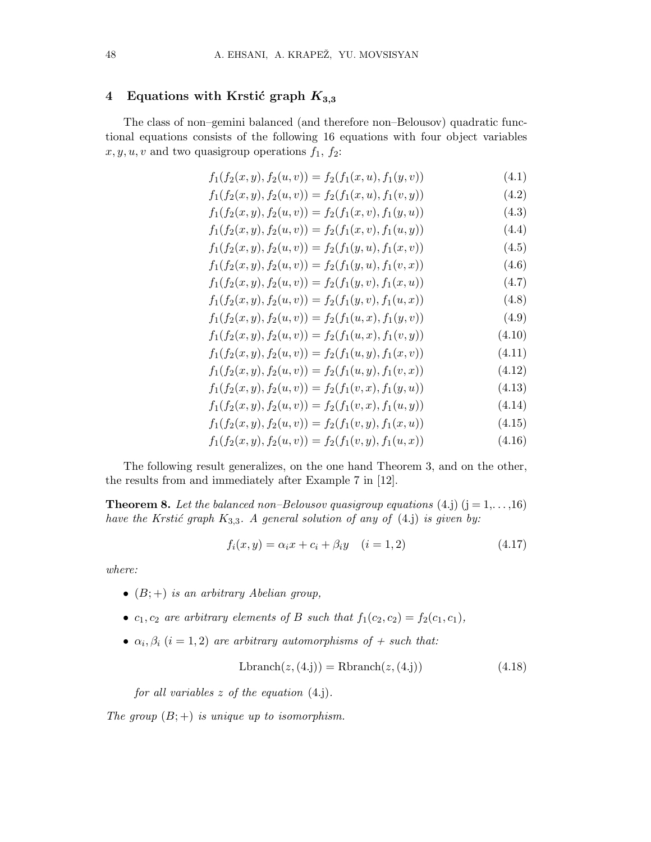### 4 Equations with Krstić graph  $K_{3,3}$

The class of non–gemini balanced (and therefore non–Belousov) quadratic functional equations consists of the following 16 equations with four object variables  $x, y, u, v$  and two quasigroup operations  $f_1, f_2$ :

$$
f_1(f_2(x, y), f_2(u, v)) = f_2(f_1(x, u), f_1(y, v))
$$
\n(4.1)

$$
f_1(f_2(x, y), f_2(u, v)) = f_2(f_1(x, u), f_1(v, y))
$$
\n(4.2)

$$
f_1(f_2(x, y), f_2(u, v)) = f_2(f_1(x, v), f_1(y, u))
$$
\n(4.3)

$$
f_1(f_2(x, y), f_2(u, v)) = f_2(f_1(x, v), f_1(u, y))
$$
\n(4.4)

$$
f_1(f_2(x, y), f_2(u, v)) = f_2(f_1(y, u), f_1(x, v))
$$
\n(4.5)

$$
f_1(f_2(x, y), f_2(u, v)) = f_2(f_1(y, u), f_1(v, x))
$$
\n(4.6)

$$
f_1(f_2(x, y), f_2(u, v)) = f_2(f_1(y, v), f_1(x, u))
$$
\n(4.7)

$$
f_1(f_2(x, y), f_2(u, v)) = f_2(f_1(y, v), f_1(u, x))
$$
\n(4.8)

$$
f_1(f_2(x, y), f_2(u, v)) = f_2(f_1(u, x), f_1(y, v))
$$
\n(4.9)

$$
f_1(f_2(x, y), f_2(u, v)) = f_2(f_1(u, x), f_1(v, y))
$$
\n(4.10)

$$
f_1(f_2(x, y), f_2(u, v)) = f_2(f_1(u, y), f_1(x, v))
$$
\n(4.11)

$$
f_1(f_2(x, y), f_2(u, v)) = f_2(f_1(u, y), f_1(v, x))
$$
\n(4.12)

$$
f_1(f_2(x, y), f_2(u, v)) = f_2(f_1(v, x), f_1(y, u))
$$
\n(4.13)

$$
f_1(f_2(x, y), f_2(u, v)) = f_2(f_1(v, x), f_1(u, y))
$$
\n(4.14)

$$
f_1(f_2(x, y), f_2(u, v)) = f_2(f_1(v, y), f_1(x, u))
$$
\n(4.15)

$$
f_1(f_2(x, y), f_2(u, v)) = f_2(f_1(v, y), f_1(u, x))
$$
\n(4.16)

The following result generalizes, on the one hand Theorem 3, and on the other, the results from and immediately after Example 7 in [12].

**Theorem 8.** Let the balanced non–Belousov quasigroup equations (4.j)  $(j = 1, \ldots, 16)$ have the Krstić graph  $K_{3,3}$ . A general solution of any of (4.j) is given by:

$$
f_i(x, y) = \alpha_i x + c_i + \beta_i y \quad (i = 1, 2)
$$
\n(4.17)

where:

- $(B;+)$  is an arbitrary Abelian group,
- $c_1, c_2$  are arbitrary elements of B such that  $f_1(c_2, c_2) = f_2(c_1, c_1)$ ,
- $\alpha_i, \beta_i$   $(i = 1, 2)$  are arbitrary automorphisms of  $+$  such that:

$$
Lbranch(z, (4. j)) = Rhranch(z, (4. j))
$$
\n(4.18)

for all variables  $z$  of the equation  $(4.j)$ .

The group  $(B;+)$  is unique up to isomorphism.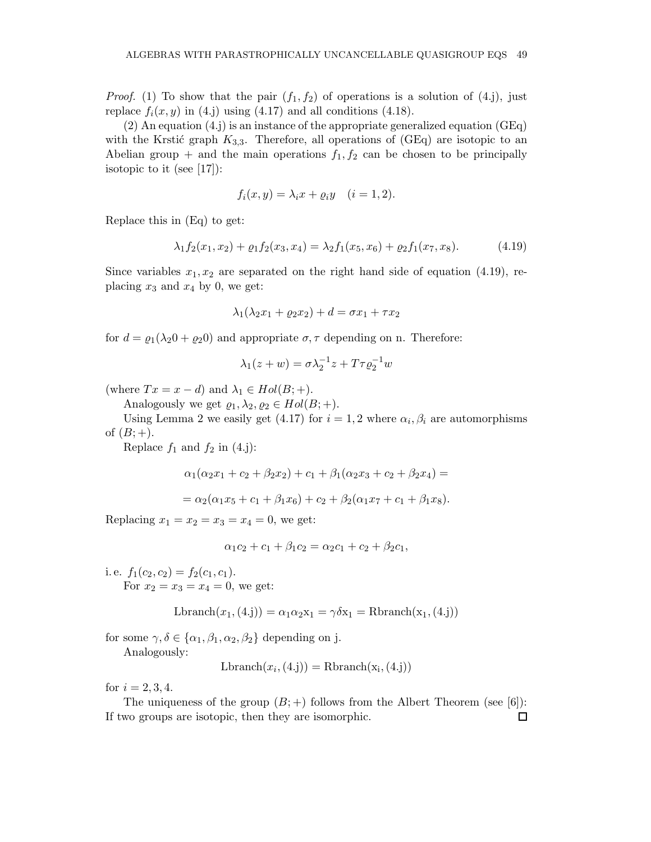*Proof.* (1) To show that the pair  $(f_1, f_2)$  of operations is a solution of (4.j), just replace  $f_i(x,y)$  in (4.j) using (4.17) and all conditions (4.18).

(2) An equation (4.j) is an instance of the appropriate generalized equation (GEq) with the Krstić graph  $K_{3,3}$ . Therefore, all operations of (GEq) are isotopic to an Abelian group  $+$  and the main operations  $f_1, f_2$  can be chosen to be principally isotopic to it (see [17]):

$$
f_i(x, y) = \lambda_i x + \varrho_i y \quad (i = 1, 2).
$$

Replace this in (Eq) to get:

$$
\lambda_1 f_2(x_1, x_2) + \varrho_1 f_2(x_3, x_4) = \lambda_2 f_1(x_5, x_6) + \varrho_2 f_1(x_7, x_8). \tag{4.19}
$$

Since variables  $x_1, x_2$  are separated on the right hand side of equation (4.19), replacing  $x_3$  and  $x_4$  by 0, we get:

$$
\lambda_1(\lambda_2 x_1 + \varrho_2 x_2) + d = \sigma x_1 + \tau x_2
$$

for  $d = \varrho_1(\lambda_2 0 + \varrho_2 0)$  and appropriate  $\sigma$ ,  $\tau$  depending on n. Therefore:

$$
\lambda_1(z+w) = \sigma \lambda_2^{-1} z + T \tau \varrho_2^{-1} w
$$

(where  $Tx = x - d$ ) and  $\lambda_1 \in Hol(B; +)$ .

Analogously we get  $\varrho_1, \lambda_2, \varrho_2 \in Hol(B; +)$ .

Using Lemma 2 we easily get (4.17) for  $i = 1, 2$  where  $\alpha_i, \beta_i$  are automorphisms of  $(B; +)$ .

Replace  $f_1$  and  $f_2$  in (4.j):

$$
\alpha_1(\alpha_2x_1 + c_2 + \beta_2x_2) + c_1 + \beta_1(\alpha_2x_3 + c_2 + \beta_2x_4) =
$$

 $=\alpha_2(\alpha_1x_5+c_1+\beta_1x_6)+c_2+\beta_2(\alpha_1x_7+c_1+\beta_1x_8).$ 

Replacing  $x_1 = x_2 = x_3 = x_4 = 0$ , we get:

$$
\alpha_1 c_2 + c_1 + \beta_1 c_2 = \alpha_2 c_1 + c_2 + \beta_2 c_1,
$$

i.e.  $f_1(c_2, c_2) = f_2(c_1, c_1)$ . For  $x_2 = x_3 = x_4 = 0$ , we get:

$$
Lbranch(x1, (4.j)) = \alpha_1 \alpha_2 x_1 = \gamma \delta x_1 = Rhranch(x1, (4.j))
$$

for some  $\gamma, \delta \in {\alpha_1, \beta_1, \alpha_2, \beta_2}$  depending on j.

Analogously:

$$
Lbranch(x_i, (4.j)) = Rhranch(x_i, (4.j))
$$

for  $i = 2, 3, 4$ .

The uniqueness of the group  $(B; +)$  follows from the Albert Theorem (see [6]): If two groups are isotopic, then they are isomorphic. $\Box$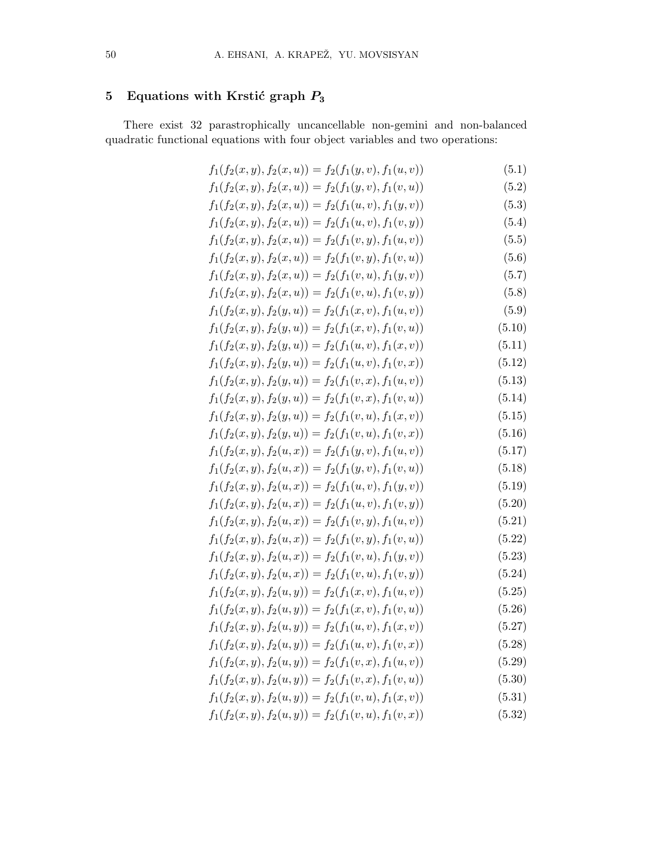# 5 Equations with Krstić graph  $P_3$

There exist 32 parastrophically uncancellable non-gemini and non-balanced quadratic functional equations with four object variables and two operations:

| $f_1(f_2(x, y), f_2(x, u)) = f_2(f_1(y, v), f_1(u, v))$ | (5.1)  |
|---------------------------------------------------------|--------|
| $f_1(f_2(x, y), f_2(x, u)) = f_2(f_1(y, v), f_1(v, u))$ | (5.2)  |
| $f_1(f_2(x, y), f_2(x, u)) = f_2(f_1(u, v), f_1(y, v))$ | (5.3)  |
| $f_1(f_2(x, y), f_2(x, u)) = f_2(f_1(u, v), f_1(v, y))$ | (5.4)  |
| $f_1(f_2(x, y), f_2(x, u)) = f_2(f_1(v, y), f_1(u, v))$ | (5.5)  |
| $f_1(f_2(x, y), f_2(x, u)) = f_2(f_1(v, y), f_1(v, u))$ | (5.6)  |
| $f_1(f_2(x, y), f_2(x, u)) = f_2(f_1(v, u), f_1(y, v))$ | (5.7)  |
| $f_1(f_2(x, y), f_2(x, u)) = f_2(f_1(v, u), f_1(v, y))$ | (5.8)  |
| $f_1(f_2(x, y), f_2(y, u)) = f_2(f_1(x, v), f_1(u, v))$ | (5.9)  |
| $f_1(f_2(x, y), f_2(y, u)) = f_2(f_1(x, v), f_1(v, u))$ | (5.10) |
| $f_1(f_2(x, y), f_2(y, u)) = f_2(f_1(u, v), f_1(x, v))$ | (5.11) |
| $f_1(f_2(x, y), f_2(y, u)) = f_2(f_1(u, v), f_1(v, x))$ | (5.12) |
| $f_1(f_2(x, y), f_2(y, u)) = f_2(f_1(v, x), f_1(u, v))$ | (5.13) |
| $f_1(f_2(x, y), f_2(y, u)) = f_2(f_1(v, x), f_1(v, u))$ | (5.14) |
| $f_1(f_2(x, y), f_2(y, u)) = f_2(f_1(v, u), f_1(x, v))$ | (5.15) |
| $f_1(f_2(x, y), f_2(y, u)) = f_2(f_1(v, u), f_1(v, x))$ | (5.16) |
| $f_1(f_2(x, y), f_2(u, x)) = f_2(f_1(y, v), f_1(u, v))$ | (5.17) |
| $f_1(f_2(x, y), f_2(u, x)) = f_2(f_1(y, v), f_1(v, u))$ | (5.18) |
| $f_1(f_2(x, y), f_2(u, x)) = f_2(f_1(u, v), f_1(y, v))$ | (5.19) |
| $f_1(f_2(x, y), f_2(u, x)) = f_2(f_1(u, v), f_1(v, y))$ | (5.20) |
| $f_1(f_2(x, y), f_2(u, x)) = f_2(f_1(v, y), f_1(u, v))$ | (5.21) |
| $f_1(f_2(x, y), f_2(u, x)) = f_2(f_1(v, y), f_1(v, u))$ | (5.22) |
| $f_1(f_2(x, y), f_2(u, x)) = f_2(f_1(v, u), f_1(y, v))$ | (5.23) |
| $f_1(f_2(x, y), f_2(u, x)) = f_2(f_1(v, u), f_1(v, y))$ | (5.24) |
| $f_1(f_2(x, y), f_2(u, y)) = f_2(f_1(x, v), f_1(u, v))$ | (5.25) |
| $f_1(f_2(x, y), f_2(u, y)) = f_2(f_1(x, v), f_1(v, u))$ | (5.26) |
| $f_1(f_2(x, y), f_2(u, y)) = f_2(f_1(u, v), f_1(x, v))$ | (5.27) |
| $f_1(f_2(x, y), f_2(u, y)) = f_2(f_1(u, v), f_1(v, x))$ | (5.28) |
| $f_1(f_2(x, y), f_2(u, y)) = f_2(f_1(v, x), f_1(u, v))$ | (5.29) |
| $f_1(f_2(x, y), f_2(u, y)) = f_2(f_1(v, x), f_1(v, u))$ | (5.30) |
| $f_1(f_2(x, y), f_2(u, y)) = f_2(f_1(v, u), f_1(x, v))$ | (5.31) |
| $f_1(f_2(x, y), f_2(u, y)) = f_2(f_1(v, u), f_1(v, x))$ | (5.32) |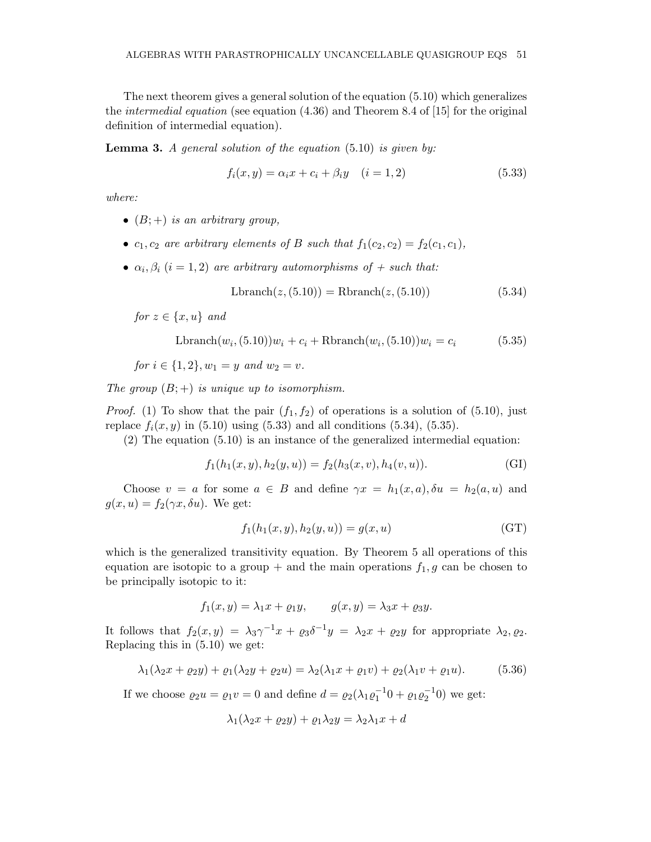The next theorem gives a general solution of the equation (5.10) which generalizes the intermedial equation (see equation (4.36) and Theorem 8.4 of [15] for the original definition of intermedial equation).

**Lemma 3.** A general solution of the equation  $(5.10)$  is given by:

$$
f_i(x, y) = \alpha_i x + c_i + \beta_i y \quad (i = 1, 2)
$$
\n(5.33)

where:

- $(B;+)$  is an arbitrary group,
- $c_1, c_2$  are arbitrary elements of B such that  $f_1(c_2, c_2) = f_2(c_1, c_1)$ ,
- $\alpha_i, \beta_i$   $(i = 1, 2)$  are arbitrary automorphisms of  $+$  such that:

$$
Lbranch(z, (5.10)) = Rhranch(z, (5.10))
$$
\n
$$
(5.34)
$$

for  $z \in \{x, u\}$  and

$$
Lbranch(w_i, (5.10))w_i + c_i + Rhranch(w_i, (5.10))w_i = c_i
$$
\n(5.35)

for  $i \in \{1, 2\}, w_1 = y$  and  $w_2 = v$ .

The group  $(B;+)$  is unique up to isomorphism.

*Proof.* (1) To show that the pair  $(f_1, f_2)$  of operations is a solution of (5.10), just replace  $f_i(x,y)$  in (5.10) using (5.33) and all conditions (5.34), (5.35).

(2) The equation (5.10) is an instance of the generalized intermedial equation:

$$
f_1(h_1(x, y), h_2(y, u)) = f_2(h_3(x, v), h_4(v, u)).
$$
\n(GI)

Choose  $v = a$  for some  $a \in B$  and define  $\gamma x = h_1(x,a), \delta u = h_2(a,u)$  and  $g(x, u) = f_2(\gamma x, \delta u)$ . We get:

$$
f_1(h_1(x, y), h_2(y, u)) = g(x, u)
$$
 (GT)

which is the generalized transitivity equation. By Theorem 5 all operations of this equation are isotopic to a group + and the main operations  $f_1, g$  can be chosen to be principally isotopic to it:

 $f_1(x,y) = \lambda_1 x + \varrho_1 y,$   $g(x,y) = \lambda_3 x + \varrho_3 y.$ 

It follows that  $f_2(x,y) = \lambda_3 \gamma^{-1} x + \varrho_3 \delta^{-1} y = \lambda_2 x + \varrho_2 y$  for appropriate  $\lambda_2, \varrho_2$ . Replacing this in (5.10) we get:

$$
\lambda_1(\lambda_2 x + \varrho_2 y) + \varrho_1(\lambda_2 y + \varrho_2 u) = \lambda_2(\lambda_1 x + \varrho_1 v) + \varrho_2(\lambda_1 v + \varrho_1 u). \tag{5.36}
$$

If we choose  $\rho_2 u = \rho_1 v = 0$  and define  $d = \rho_2(\lambda_1 \rho_1^{-1} 0 + \rho_1 \rho_2^{-1} 0)$  we get:

$$
\lambda_1(\lambda_2 x + \varrho_2 y) + \varrho_1 \lambda_2 y = \lambda_2 \lambda_1 x + d
$$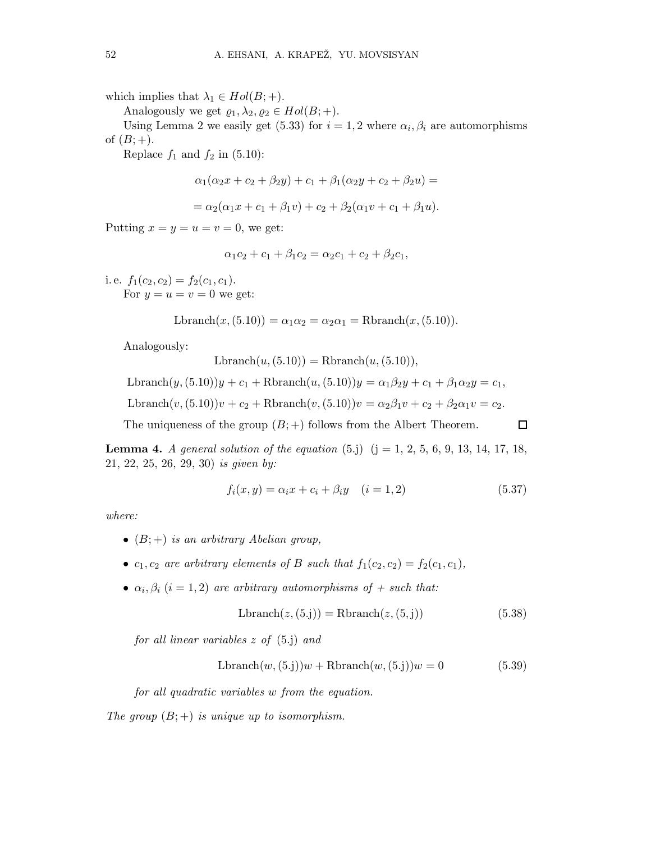which implies that  $\lambda_1 \in Hol(B; +)$ .

Analogously we get  $\varrho_1, \lambda_2, \varrho_2 \in Hol(B; +)$ .

Using Lemma 2 we easily get (5.33) for  $i = 1, 2$  where  $\alpha_i, \beta_i$  are automorphisms of  $(B; +)$ .

Replace  $f_1$  and  $f_2$  in (5.10):

$$
\alpha_1(\alpha_2 x + c_2 + \beta_2 y) + c_1 + \beta_1(\alpha_2 y + c_2 + \beta_2 u) =
$$

$$
= \alpha_2(\alpha_1 x + c_1 + \beta_1 v) + c_2 + \beta_2(\alpha_1 v + c_1 + \beta_1 u).
$$

Putting  $x = y = u = v = 0$ , we get:

$$
\alpha_1 c_2 + c_1 + \beta_1 c_2 = \alpha_2 c_1 + c_2 + \beta_2 c_1,
$$

i.e.  $f_1(c_2, c_2) = f_2(c_1, c_1)$ . For  $y = u = v = 0$  we get:

$$
Lbranch(x, (5.10)) = \alpha_1 \alpha_2 = \alpha_2 \alpha_1 = Rhranch(x, (5.10)).
$$

Analogously:

 $Lbranch(u,(5.10)) = Rhranch(u,(5.10)),$ 

Lbranch $(y, (5.10))y + c_1 +$ Rbranch $(u, (5.10))y = \alpha_1\beta_2y + c_1 + \beta_1\alpha_2y = c_1$ ,

Lbranch(v, (5.10))v + c<sub>2</sub> + Rbranch(v, (5.10))v =  $\alpha_2\beta_1v$  + c<sub>2</sub> +  $\beta_2\alpha_1v$  = c<sub>2</sub>.

The uniqueness of the group  $(B; +)$  follows from the Albert Theorem.  $\Box$ 

**Lemma 4.** A general solution of the equation  $(5 \text{.j})$   $(j = 1, 2, 5, 6, 9, 13, 14, 17, 18,$ 21, 22, 25, 26, 29, 30) is given by:

$$
f_i(x, y) = \alpha_i x + c_i + \beta_i y \quad (i = 1, 2)
$$
\n(5.37)

where:

- $(B;+)$  is an arbitrary Abelian group,
- $c_1, c_2$  are arbitrary elements of B such that  $f_1(c_2, c_2) = f_2(c_1, c_1)$ ,
- $\alpha_i, \beta_i$   $(i = 1, 2)$  are arbitrary automorphisms of  $+$  such that:

$$
Lbranch(z, (5. j)) = Rhranch(z, (5. j))
$$
\n(5.38)

for all linear variables z of (5.j) and

$$
Lbranch(w, (5. j))w + Rhranch(w, (5. j))w = 0
$$
\n(5.39)

for all quadratic variables w from the equation.

The group  $(B;+)$  is unique up to isomorphism.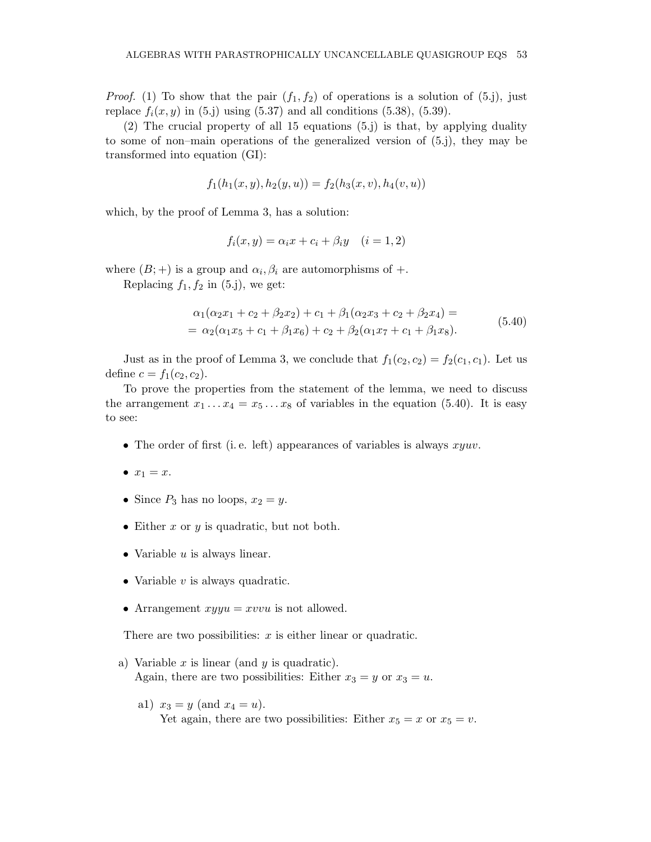*Proof.* (1) To show that the pair  $(f_1, f_2)$  of operations is a solution of (5.j), just replace  $f_i(x,y)$  in (5.j) using (5.37) and all conditions (5.38), (5.39).

(2) The crucial property of all 15 equations (5.j) is that, by applying duality to some of non–main operations of the generalized version of (5.j), they may be transformed into equation (GI):

$$
f_1(h_1(x, y), h_2(y, u)) = f_2(h_3(x, v), h_4(v, u))
$$

which, by the proof of Lemma 3, has a solution:

$$
f_i(x, y) = \alpha_i x + c_i + \beta_i y \quad (i = 1, 2)
$$

where  $(B; +)$  is a group and  $\alpha_i, \beta_i$  are automorphisms of  $+$ .

Replacing  $f_1, f_2$  in (5.j), we get:

$$
\alpha_1(\alpha_2 x_1 + c_2 + \beta_2 x_2) + c_1 + \beta_1(\alpha_2 x_3 + c_2 + \beta_2 x_4) =
$$
  
=  $\alpha_2(\alpha_1 x_5 + c_1 + \beta_1 x_6) + c_2 + \beta_2(\alpha_1 x_7 + c_1 + \beta_1 x_8).$  (5.40)

Just as in the proof of Lemma 3, we conclude that  $f_1(c_2,c_2) = f_2(c_1,c_1)$ . Let us define  $c = f_1(c_2, c_2)$ .

To prove the properties from the statement of the lemma, we need to discuss the arrangement  $x_1 \ldots x_4 = x_5 \ldots x_8$  of variables in the equation (5.40). It is easy to see:

- The order of first (i.e. left) appearances of variables is always  $xyuv$ .
- $x_1 = x$ .
- Since  $P_3$  has no loops,  $x_2 = y$ .
- Either  $x$  or  $y$  is quadratic, but not both.
- Variable  $u$  is always linear.
- Variable  $v$  is always quadratic.
- Arrangement  $xyyu = xvvu$  is not allowed.

There are two possibilities:  $x$  is either linear or quadratic.

- a) Variable  $x$  is linear (and  $y$  is quadratic). Again, there are two possibilities: Either  $x_3 = y$  or  $x_3 = u$ .
	- a1)  $x_3 = y$  (and  $x_4 = u$ ). Yet again, there are two possibilities: Either  $x_5 = x$  or  $x_5 = v$ .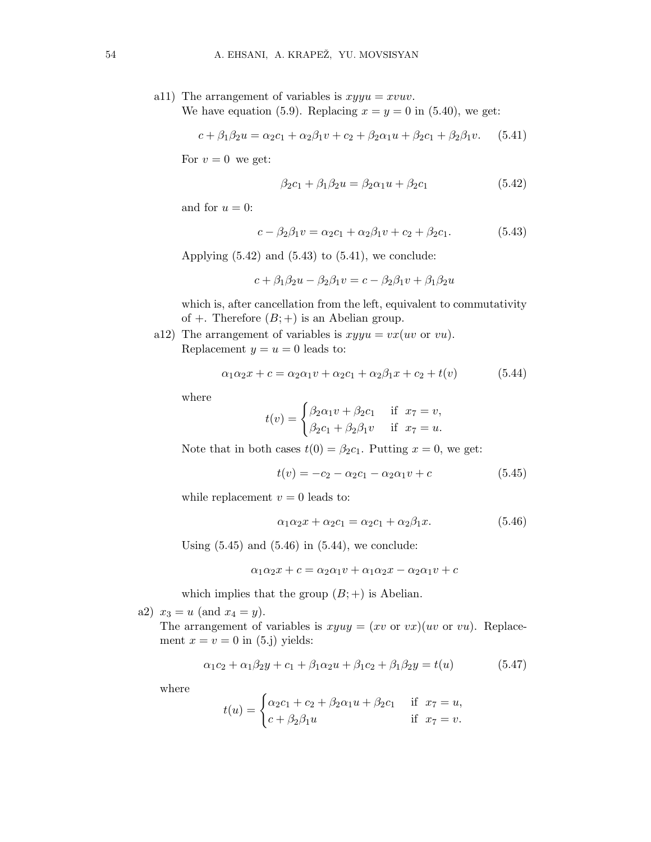a11) The arrangement of variables is  $xyyu = xvuv$ . We have equation (5.9). Replacing  $x = y = 0$  in (5.40), we get:

$$
c + \beta_1 \beta_2 u = \alpha_2 c_1 + \alpha_2 \beta_1 v + c_2 + \beta_2 \alpha_1 u + \beta_2 c_1 + \beta_2 \beta_1 v. \tag{5.41}
$$

For  $v = 0$  we get:

$$
\beta_2 c_1 + \beta_1 \beta_2 u = \beta_2 \alpha_1 u + \beta_2 c_1 \tag{5.42}
$$

and for  $u = 0$ :

$$
c - \beta_2 \beta_1 v = \alpha_2 c_1 + \alpha_2 \beta_1 v + c_2 + \beta_2 c_1. \tag{5.43}
$$

Applying  $(5.42)$  and  $(5.43)$  to  $(5.41)$ , we conclude:

$$
c + \beta_1 \beta_2 u - \beta_2 \beta_1 v = c - \beta_2 \beta_1 v + \beta_1 \beta_2 u
$$

which is, after cancellation from the left, equivalent to commutativity of  $+$ . Therefore  $(B; +)$  is an Abelian group.

a12) The arrangement of variables is  $xyyu = vx(uv$  or vu). Replacement  $y = u = 0$  leads to:

$$
\alpha_1 \alpha_2 x + c = \alpha_2 \alpha_1 v + \alpha_2 c_1 + \alpha_2 \beta_1 x + c_2 + t(v) \tag{5.44}
$$

where

$$
t(v) = \begin{cases} \beta_2 \alpha_1 v + \beta_2 c_1 & \text{if } x_7 = v, \\ \beta_2 c_1 + \beta_2 \beta_1 v & \text{if } x_7 = u. \end{cases}
$$

Note that in both cases  $t(0) = \beta_2 c_1$ . Putting  $x = 0$ , we get:

$$
t(v) = -c_2 - \alpha_2 c_1 - \alpha_2 \alpha_1 v + c \tag{5.45}
$$

while replacement  $v = 0$  leads to:

$$
\alpha_1 \alpha_2 x + \alpha_2 c_1 = \alpha_2 c_1 + \alpha_2 \beta_1 x. \tag{5.46}
$$

Using  $(5.45)$  and  $(5.46)$  in  $(5.44)$ , we conclude:

$$
\alpha_1 \alpha_2 x + c = \alpha_2 \alpha_1 v + \alpha_1 \alpha_2 x - \alpha_2 \alpha_1 v + c
$$

which implies that the group  $(B; +)$  is Abelian.

a2)  $x_3 = u$  (and  $x_4 = y$ ).

The arrangement of variables is  $xyuy = (xv \text{ or } vx)(uv \text{ or } vu)$ . Replacement  $x = v = 0$  in (5.j) yields:

$$
\alpha_1 c_2 + \alpha_1 \beta_2 y + c_1 + \beta_1 \alpha_2 u + \beta_1 c_2 + \beta_1 \beta_2 y = t(u) \tag{5.47}
$$

where

$$
t(u) = \begin{cases} \alpha_2 c_1 + c_2 + \beta_2 \alpha_1 u + \beta_2 c_1 & \text{if } x_7 = u, \\ c + \beta_2 \beta_1 u & \text{if } x_7 = v. \end{cases}
$$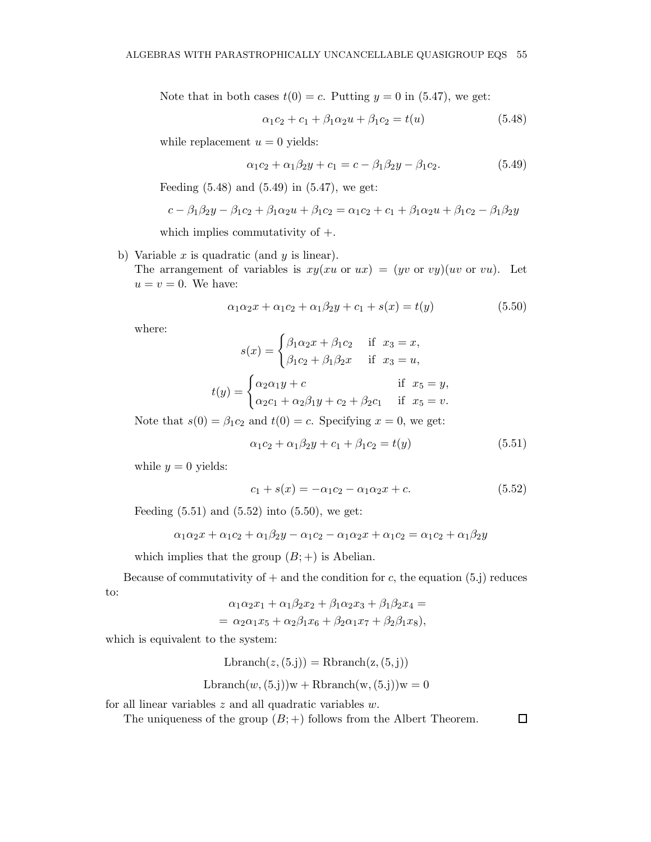Note that in both cases  $t(0) = c$ . Putting  $y = 0$  in (5.47), we get:

$$
\alpha_1 c_2 + c_1 + \beta_1 \alpha_2 u + \beta_1 c_2 = t(u) \tag{5.48}
$$

while replacement  $u = 0$  yields:

$$
\alpha_1 c_2 + \alpha_1 \beta_2 y + c_1 = c - \beta_1 \beta_2 y - \beta_1 c_2. \tag{5.49}
$$

Feeding  $(5.48)$  and  $(5.49)$  in  $(5.47)$ , we get:

$$
c - \beta_1 \beta_2 y - \beta_1 c_2 + \beta_1 \alpha_2 u + \beta_1 c_2 = \alpha_1 c_2 + c_1 + \beta_1 \alpha_2 u + \beta_1 c_2 - \beta_1 \beta_2 y
$$

which implies commutativity of  $+$ .

b) Variable  $x$  is quadratic (and  $y$  is linear).

The arrangement of variables is  $xy(xu \text{ or } ux) = (yv \text{ or } vy)(uv \text{ or } vu)$ . Let  $u = v = 0$ . We have:

$$
\alpha_1 \alpha_2 x + \alpha_1 c_2 + \alpha_1 \beta_2 y + c_1 + s(x) = t(y)
$$
\n(5.50)

where:

$$
s(x) = \begin{cases} \beta_1 \alpha_2 x + \beta_1 c_2 & \text{if } x_3 = x, \\ \beta_1 c_2 + \beta_1 \beta_2 x & \text{if } x_3 = u, \end{cases}
$$

$$
t(y) = \begin{cases} \alpha_2 \alpha_1 y + c & \text{if } x_5 = y, \\ \alpha_2 c_1 + \alpha_2 \beta_1 y + c_2 + \beta_2 c_1 & \text{if } x_5 = v. \end{cases}
$$

Note that  $s(0) = \beta_1 c_2$  and  $t(0) = c$ . Specifying  $x = 0$ , we get:

$$
\alpha_1 c_2 + \alpha_1 \beta_2 y + c_1 + \beta_1 c_2 = t(y) \tag{5.51}
$$

while  $y = 0$  yields:

$$
c_1 + s(x) = -\alpha_1 c_2 - \alpha_1 \alpha_2 x + c. \tag{5.52}
$$

Feeding  $(5.51)$  and  $(5.52)$  into  $(5.50)$ , we get:

$$
\alpha_1 \alpha_2 x + \alpha_1 c_2 + \alpha_1 \beta_2 y - \alpha_1 c_2 - \alpha_1 \alpha_2 x + \alpha_1 c_2 = \alpha_1 c_2 + \alpha_1 \beta_2 y
$$

which implies that the group  $(B; +)$  is Abelian.

Because of commutativity of  $+$  and the condition for c, the equation (5.j) reduces to:

$$
\alpha_1 \alpha_2 x_1 + \alpha_1 \beta_2 x_2 + \beta_1 \alpha_2 x_3 + \beta_1 \beta_2 x_4 = \n= \alpha_2 \alpha_1 x_5 + \alpha_2 \beta_1 x_6 + \beta_2 \alpha_1 x_7 + \beta_2 \beta_1 x_8,
$$

which is equivalent to the system:

$$
Lbranch(z, (5. j)) = Rhranch(z, (5. j))
$$

Lbranch $(w,(5,j))w +$ Rbranch $(w,(5,j))w = 0$ 

for all linear variables  $z$  and all quadratic variables  $w$ .

The uniqueness of the group  $(B; +)$  follows from the Albert Theorem.

 $\Box$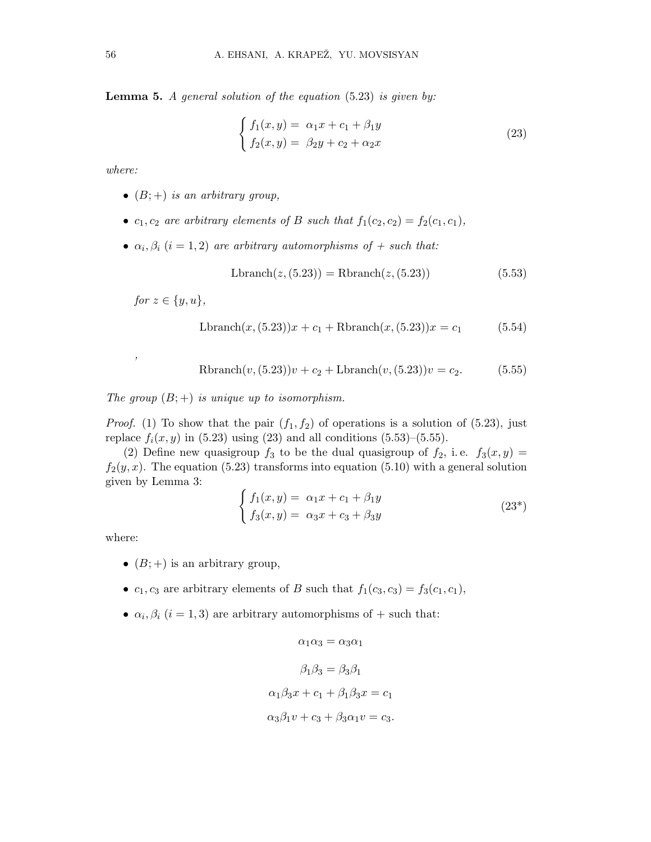**Lemma 5.** A general solution of the equation  $(5.23)$  is given by:

$$
\begin{cases}\nf_1(x,y) = \alpha_1 x + c_1 + \beta_1 y \\
f_2(x,y) = \beta_2 y + c_2 + \alpha_2 x\n\end{cases}
$$
\n(23)

where:

- $(B;+)$  is an arbitrary group,
- $c_1, c_2$  are arbitrary elements of B such that  $f_1(c_2, c_2) = f_2(c_1, c_1)$ ,
- $\alpha_i, \beta_i$   $(i = 1, 2)$  are arbitrary automorphisms of  $+$  such that:

$$
Lbranch(z, (5.23)) = Rhanch(z, (5.23))
$$
\n(5.53)

for  $z \in \{y, u\}$ ,

,

$$
Lbranch(x, (5.23))x + c_1 + Rhranch(x, (5.23))x = c_1
$$
\n(5.54)

Rbranch
$$
(v, (5.23))v + c_2 + \text{Lbranch}(v, (5.23))v = c_2.
$$
 (5.55)

The group  $(B;+)$  is unique up to isomorphism.

*Proof.* (1) To show that the pair  $(f_1, f_2)$  of operations is a solution of (5.23), just replace  $f_i(x, y)$  in (5.23) using (23) and all conditions (5.53)–(5.55).

(2) Define new quasigroup  $f_3$  to be the dual quasigroup of  $f_2$ , i.e.  $f_3(x,y)$  $f_2(y, x)$ . The equation (5.23) transforms into equation (5.10) with a general solution given by Lemma 3:

$$
\begin{cases}\nf_1(x,y) = \alpha_1 x + c_1 + \beta_1 y \\
f_3(x,y) = \alpha_3 x + c_3 + \beta_3 y\n\end{cases} \tag{23*}
$$

where:

- $(B;+)$  is an arbitrary group,
- $c_1, c_3$  are arbitrary elements of B such that  $f_1(c_3, c_3) = f_3(c_1, c_1)$ ,
- $\alpha_i, \beta_i$  (i = 1,3) are arbitrary automorphisms of + such that:

$$
\alpha_1 \alpha_3 = \alpha_3 \alpha_1
$$

$$
\beta_1 \beta_3 = \beta_3 \beta_1
$$

$$
\alpha_1 \beta_3 x + c_1 + \beta_1 \beta_3 x = c_1
$$

$$
\alpha_3 \beta_1 v + c_3 + \beta_3 \alpha_1 v = c_3.
$$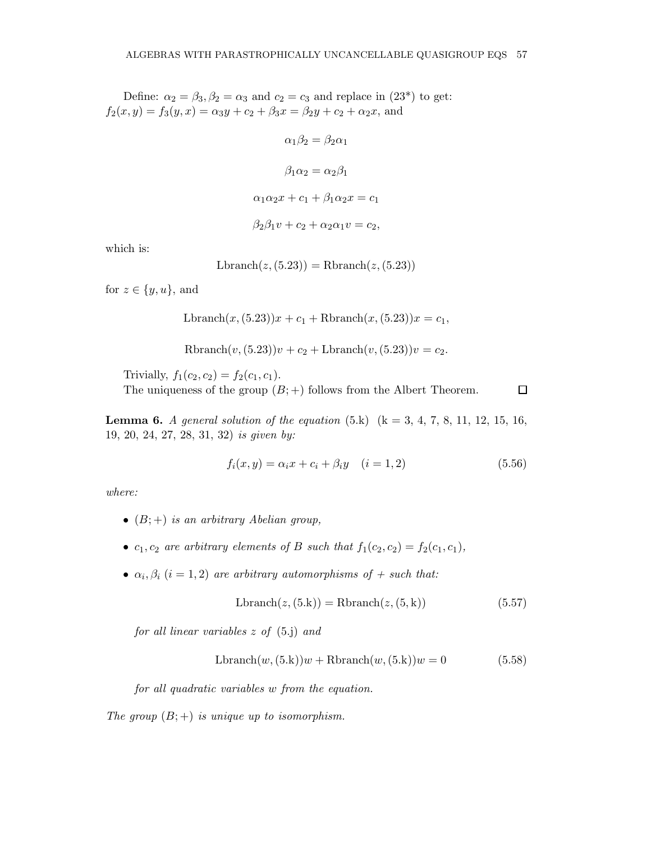Define:  $\alpha_2 = \beta_3, \beta_2 = \alpha_3$  and  $c_2 = c_3$  and replace in  $(23^*)$  to get:  $f_2(x,y) = f_3(y,x) = \alpha_3 y + c_2 + \beta_3 x = \beta_2 y + c_2 + \alpha_2 x$ , and

> $\alpha_1 \beta_2 = \beta_2 \alpha_1$  $\beta_1 \alpha_2 = \alpha_2 \beta_1$  $\alpha_1\alpha_2x + c_1 + \beta_1\alpha_2x = c_1$  $\beta_2 \beta_1 v + c_2 + \alpha_2 \alpha_1 v = c_2,$

which is:

 $Lbranch(z, (5.23)) = Rhranch(z, (5.23))$ 

for  $z \in \{y, u\}$ , and

$$
Lbranch(x, (5.23))x + c_1 + Rhranch(x, (5.23))x = c_1,
$$

Rbranch $(v, (5.23))v + c_2 + \text{Lbranch}(v, (5.23))v = c_2.$ 

Trivially,  $f_1(c_2, c_2) = f_2(c_1, c_1)$ . The uniqueness of the group  $(B; +)$  follows from the Albert Theorem.  $\Box$ 

**Lemma 6.** A general solution of the equation  $(5.k)$   $(k = 3, 4, 7, 8, 11, 12, 15, 16,$ 19, 20, 24, 27, 28, 31, 32) is given by:

$$
f_i(x, y) = \alpha_i x + c_i + \beta_i y \quad (i = 1, 2)
$$
\n(5.56)

where:

- $(B;+)$  is an arbitrary Abelian group,
- $c_1, c_2$  are arbitrary elements of B such that  $f_1(c_2, c_2) = f_2(c_1, c_1)$ ,
- $\alpha_i, \beta_i$  (i = 1, 2) are arbitrary automorphisms of + such that:

$$
Lbranch(z, (5.k)) = Rhranch(z, (5,k))
$$
\n(5.57)

for all linear variables z of (5.j) and

$$
Lbranch(w, (5.k))w + Rhranch(w, (5.k))w = 0
$$
\n(5.58)

for all quadratic variables w from the equation.

The group  $(B;+)$  is unique up to isomorphism.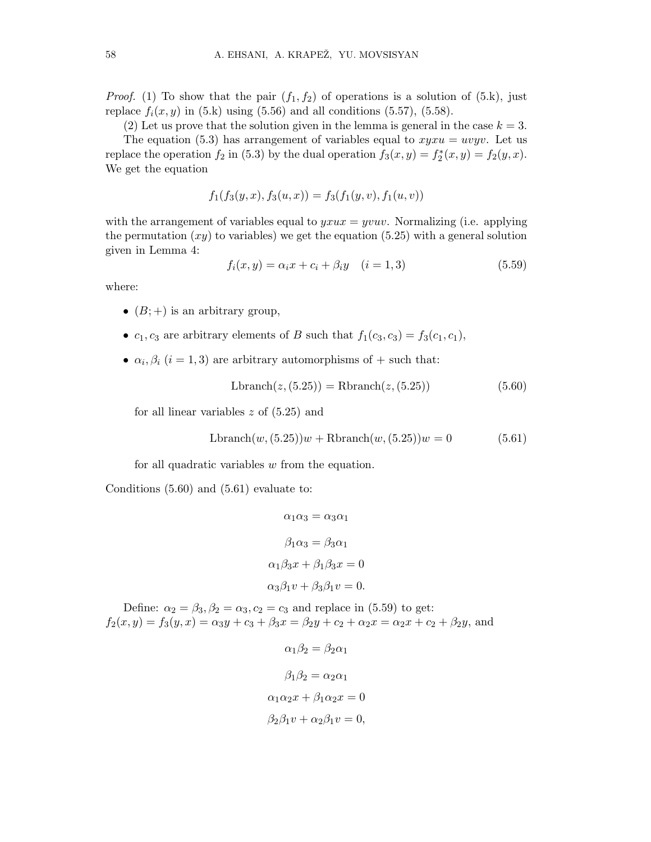*Proof.* (1) To show that the pair  $(f_1, f_2)$  of operations is a solution of  $(5k)$ , just replace  $f_i(x,y)$  in (5.k) using (5.56) and all conditions (5.57), (5.58).

(2) Let us prove that the solution given in the lemma is general in the case  $k = 3$ .

The equation (5.3) has arrangement of variables equal to  $xyxu = uvyv$ . Let us replace the operation  $f_2$  in (5.3) by the dual operation  $f_3(x,y) = f_2^*$  $f_2^*(x,y) = f_2(y,x).$ We get the equation

$$
f_1(f_3(y, x), f_3(u, x)) = f_3(f_1(y, v), f_1(u, v))
$$

with the arrangement of variables equal to  $yxux = yvuv$ . Normalizing (i.e. applying the permutation  $(xy)$  to variables) we get the equation (5.25) with a general solution given in Lemma 4:

$$
f_i(x, y) = \alpha_i x + c_i + \beta_i y \quad (i = 1, 3)
$$
\n(5.59)

where:

- $(B;+)$  is an arbitrary group,
- $c_1, c_3$  are arbitrary elements of B such that  $f_1(c_3, c_3) = f_3(c_1, c_1)$ ,
- $\alpha_i, \beta_i$  (i = 1,3) are arbitrary automorphisms of + such that:

$$
Lbranch(z, (5.25)) = Rhanch(z, (5.25))
$$
\n(5.60)

for all linear variables  $z$  of  $(5.25)$  and

$$
Lbranch(w, (5.25))w + Rhranch(w, (5.25))w = 0
$$
\n(5.61)

for all quadratic variables w from the equation.

Conditions (5.60) and (5.61) evaluate to:

$$
\alpha_1 \alpha_3 = \alpha_3 \alpha_1
$$

$$
\beta_1 \alpha_3 = \beta_3 \alpha_1
$$

$$
\alpha_1 \beta_3 x + \beta_1 \beta_3 x = 0
$$

$$
\alpha_3 \beta_1 v + \beta_3 \beta_1 v = 0.
$$

Define:  $\alpha_2 = \beta_3, \beta_2 = \alpha_3, c_2 = c_3$  and replace in (5.59) to get:  $f_2(x,y) = f_3(y,x) = \alpha_3 y + c_3 + \beta_3 x = \beta_2 y + c_2 + \alpha_2 x = \alpha_2 x + c_2 + \beta_2 y$ , and

```
\alpha_1 \beta_2 = \beta_2 \alpha_1\beta_1\beta_2 = \alpha_2\alpha_1\alpha_1 \alpha_2 x + \beta_1 \alpha_2 x = 0\beta_2 \beta_1 v + \alpha_2 \beta_1 v = 0,
```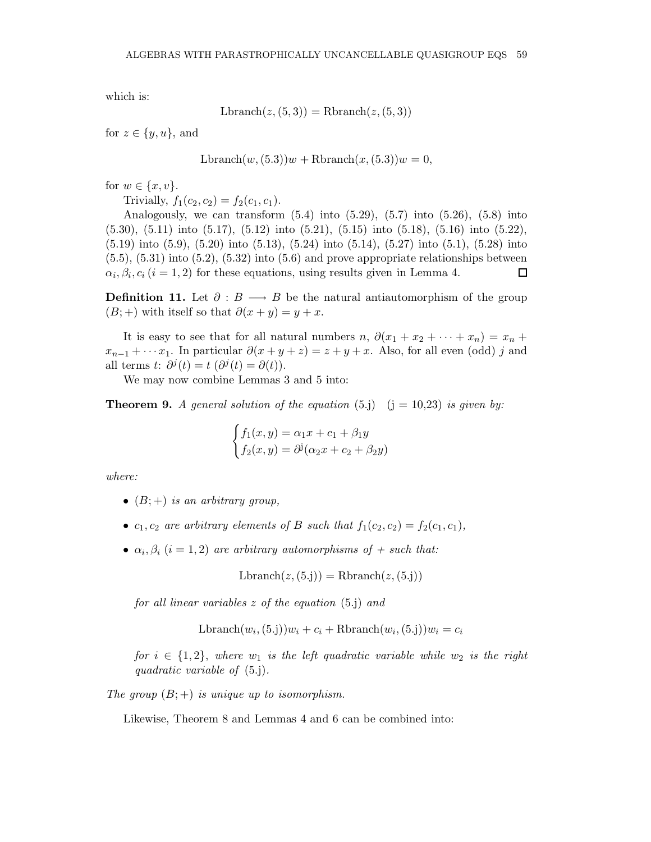which is:

 $Lbranch(z, (5, 3)) = Rhranch(z, (5, 3))$ 

for  $z \in \{y, u\}$ , and

 $Lbranch(w,(5.3))w + Rhranch(x,(5.3))w = 0,$ 

for  $w \in \{x, v\}$ .

Trivially,  $f_1(c_2,c_2) = f_2(c_1,c_1)$ .

Analogously, we can transform  $(5.4)$  into  $(5.29)$ ,  $(5.7)$  into  $(5.26)$ ,  $(5.8)$  into (5.30), (5.11) into (5.17), (5.12) into (5.21), (5.15) into (5.18), (5.16) into (5.22), (5.19) into (5.9), (5.20) into (5.13), (5.24) into (5.14), (5.27) into (5.1), (5.28) into  $(5.5)$ ,  $(5.31)$  into  $(5.2)$ ,  $(5.32)$  into  $(5.6)$  and prove appropriate relationships between  $\alpha_i, \beta_i, c_i$  ( $i = 1, 2$ ) for these equations, using results given in Lemma 4.  $\Box$ 

**Definition 11.** Let  $\partial : B \longrightarrow B$  be the natural antiautomorphism of the group  $(B;+)$  with itself so that  $\partial(x+y) = y+x$ .

It is easy to see that for all natural numbers  $n, \partial(x_1 + x_2 + \cdots + x_n) = x_n +$  $x_{n-1} + \cdots x_1$ . In particular  $\partial(x+y+z) = z+y+x$ . Also, for all even (odd) j and all terms  $t: \partial^j(t) = t \, (\partial^j(t) = \partial(t)).$ 

We may now combine Lemmas 3 and 5 into:

**Theorem 9.** A general solution of the equation (5.j)  $(j = 10,23)$  is given by:

$$
\begin{cases}\nf_1(x,y) = \alpha_1 x + c_1 + \beta_1 y \\
f_2(x,y) = \partial^j(\alpha_2 x + c_2 + \beta_2 y)\n\end{cases}
$$

where:

- $(B;+)$  is an arbitrary group,
- $c_1, c_2$  are arbitrary elements of B such that  $f_1(c_2, c_2) = f_2(c_1, c_1)$ ,
- $\alpha_i, \beta_i$   $(i = 1, 2)$  are arbitrary automorphisms of  $+$  such that:

$$
Lbranch(z, (5. j)) = Rhranch(z, (5. j))
$$

for all linear variables z of the equation (5.j) and

$$
\text{Lbranch}(w_i, (5\text{.j}))w_i + c_i + \text{Rbranch}(w_i, (5\text{.j}))w_i = c_i
$$

for  $i \in \{1,2\}$ , where  $w_1$  is the left quadratic variable while  $w_2$  is the right quadratic variable of (5.j).

The group  $(B;+)$  is unique up to isomorphism.

Likewise, Theorem 8 and Lemmas 4 and 6 can be combined into: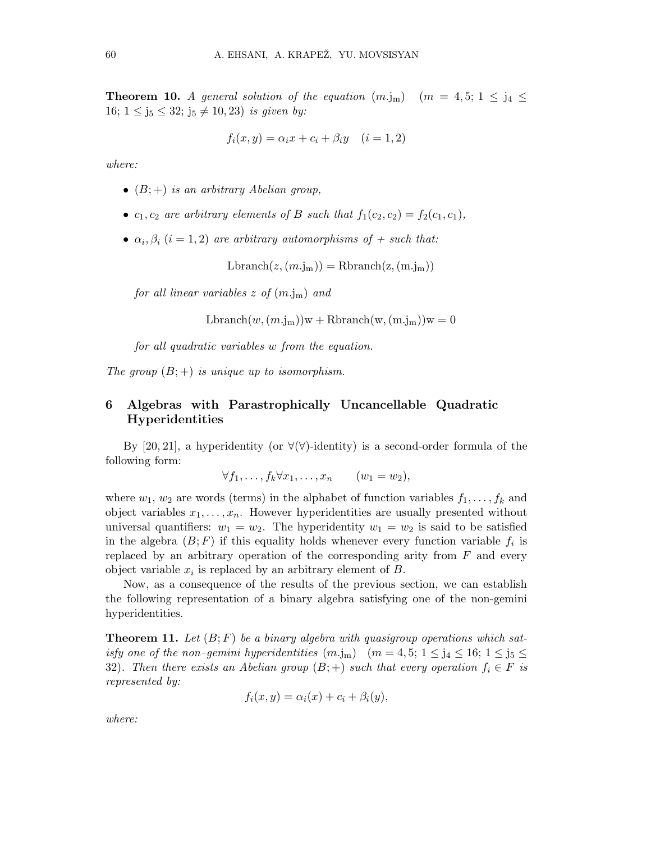**Theorem 10.** A general solution of the equation  $(m.j_m)$   $(m = 4, 5; 1 \le j_4 \le m)$ 16;  $1 \le j_5 \le 32$ ;  $j_5 \ne 10, 23$ ) is given by:

$$
f_i(x, y) = \alpha_i x + c_i + \beta_i y \quad (i = 1, 2)
$$

where:

- $(B;+)$  is an arbitrary Abelian group,
- $c_1, c_2$  are arbitrary elements of B such that  $f_1(c_2, c_2) = f_2(c_1, c_1)$ ,
- $\alpha_i, \beta_i$  (i = 1, 2) are arbitrary automorphisms of + such that:

 $Lbranch(z,(m.j<sub>m</sub>)) = Rhranch(z,(m.j<sub>m</sub>))$ 

for all linear variables  $z$  of  $(m, j<sub>m</sub>)$  and

$$
Lbranch(w, (m.jm))w + Rhranch(w, (m.jm))w = 0
$$

for all quadratic variables w from the equation.

The group  $(B;+)$  is unique up to isomorphism.

## 6 Algebras with Parastrophically Uncancellable Quadratic Hyperidentities

By [20, 21], a hyperidentity (or  $\forall$ ( $\forall$ )-identity) is a second-order formula of the following form:

$$
\forall f_1, \ldots, f_k \forall x_1, \ldots, x_n \qquad (w_1 = w_2),
$$

where  $w_1, w_2$  are words (terms) in the alphabet of function variables  $f_1, \ldots, f_k$  and object variables  $x_1, \ldots, x_n$ . However hyperidentities are usually presented without universal quantifiers:  $w_1 = w_2$ . The hyperidentity  $w_1 = w_2$  is said to be satisfied in the algebra  $(B; F)$  if this equality holds whenever every function variable  $f_i$  is replaced by an arbitrary operation of the corresponding arity from  $F$  and every object variable  $x_i$  is replaced by an arbitrary element of  $B$ .

Now, as a consequence of the results of the previous section, we can establish the following representation of a binary algebra satisfying one of the non-gemini hyperidentities.

**Theorem 11.** Let  $(B; F)$  be a binary algebra with quasigroup operations which satisfy one of the non–gemini hyperidentities  $(m,j_m)$   $(m = 4, 5; 1 \le j_4 \le 16; 1 \le j_5 \le$ 32). Then there exists an Abelian group  $(B;+)$  such that every operation  $f_i \in F$  is represented by:

$$
f_i(x, y) = \alpha_i(x) + c_i + \beta_i(y),
$$

where: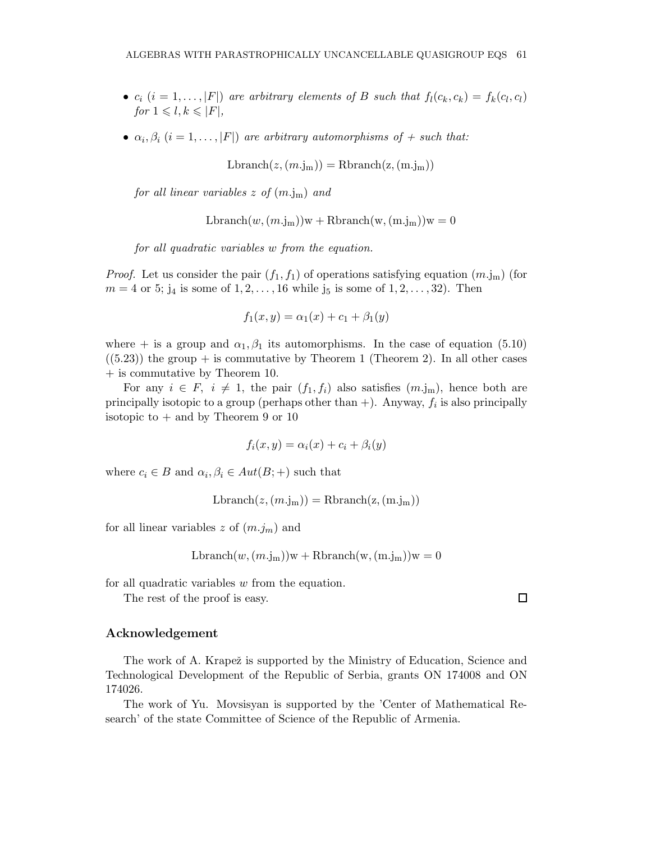- $c_i$   $(i = 1, ..., |F|)$  are arbitrary elements of B such that  $f_l(c_k, c_k) = f_k(c_l, c_l)$ for  $1 \leq l, k \leq |F|$ ,
- $\alpha_i, \beta_i$   $(i = 1, \ldots, |F|)$  are arbitrary automorphisms of  $+$  such that:

$$
Lbranch(z, (m.jm)) = Rhranch(z, (m.jm))
$$

for all linear variables  $z$  of  $(m.j<sub>m</sub>)$  and

$$
Lbranch(w, (m.jm))w + Rhranch(w, (m.jm))w = 0
$$

for all quadratic variables w from the equation.

*Proof.* Let us consider the pair  $(f_1, f_1)$  of operations satisfying equation  $(m.j_m)$  (for  $m = 4$  or 5;  $j_4$  is some of  $1, 2, ..., 16$  while  $j_5$  is some of  $1, 2, ..., 32$ ). Then

$$
f_1(x, y) = \alpha_1(x) + c_1 + \beta_1(y)
$$

where + is a group and  $\alpha_1, \beta_1$  its automorphisms. In the case of equation (5.10)  $((5.23))$  the group + is commutative by Theorem 1 (Theorem 2). In all other cases + is commutative by Theorem 10.

For any  $i \in F$ ,  $i \neq 1$ , the pair  $(f_1, f_i)$  also satisfies  $(m.j_m)$ , hence both are principally isotopic to a group (perhaps other than  $+)$ . Anyway,  $f_i$  is also principally isotopic to  $+$  and by Theorem 9 or 10

$$
f_i(x, y) = \alpha_i(x) + c_i + \beta_i(y)
$$

where  $c_i \in B$  and  $\alpha_i, \beta_i \in Aut(B;+)$  such that

$$
Lbranch(z, (m.jm)) = Rhranch(z, (m.jm))
$$

for all linear variables z of  $(m.j<sub>m</sub>)$  and

$$
Lbranch(w, (m.jm))w + Rbranch(w, (m.jm))w = 0
$$

for all quadratic variables w from the equation.

The rest of the proof is easy.

#### Acknowledgement

The work of A. Krapež is supported by the Ministry of Education, Science and Technological Development of the Republic of Serbia, grants ON 174008 and ON 174026.

The work of Yu. Movsisyan is supported by the 'Center of Mathematical Research' of the state Committee of Science of the Republic of Armenia.

 $\Box$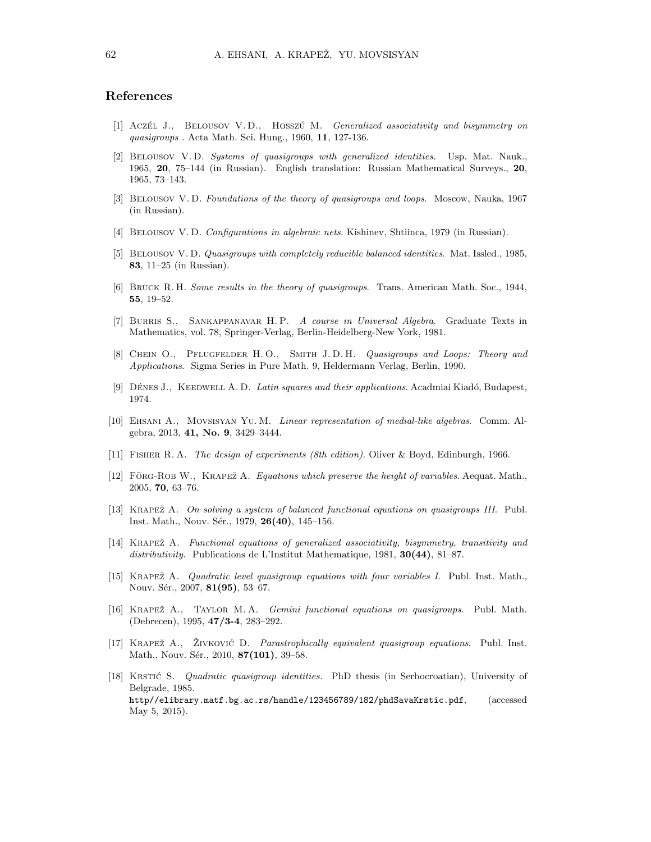#### References

- [1] Acz $\acute{\text{c}}$ L J., BELOUSOV V.D., HOSSZÚ M. *Generalized associativity and bisymmetry on* quasigroups . Acta Math. Sci. Hung., 1960, 11, 127-136.
- [2] Belousov V. D. Systems of quasigroups with generalized identities. Usp. Mat. Nauk., 1965, 20, 75–144 (in Russian). English translation: Russian Mathematical Surveys., 20, 1965, 73–143.
- [3] BELOUSOV V.D. Foundations of the theory of quasigroups and loops. Moscow, Nauka, 1967 (in Russian).
- [4] Belousov V. D. Configurations in algebraic nets. Kishinev, Shtiinca, 1979 (in Russian).
- [5] Belousov V. D. Quasigroups with completely reducible balanced identities. Mat. Issled., 1985, 83, 11–25 (in Russian).
- [6] BRUCK R. H. Some results in the theory of quasigroups. Trans. American Math. Soc., 1944, 55, 19–52.
- [7] Burris S., Sankappanavar H. P. A course in Universal Algebra. Graduate Texts in Mathematics, vol. 78, Springer-Verlag, Berlin-Heidelberg-New York, 1981.
- [8] CHEIN O., PFLUGFELDER H.O., SMITH J.D.H. Quasigroups and Loops: Theory and Applications. Sigma Series in Pure Math. 9, Heldermann Verlag, Berlin, 1990.
- [9] DÉNES J., KEEDWELL A. D. Latin squares and their applications. Acadmiai Kiadó, Budapest, 1974.
- [10] Ehsani A., Movsisyan Yu. M. Linear representation of medial-like algebras. Comm. Algebra, 2013, 41, No. 9, 3429–3444.
- [11] Fisher R. A. The design of experiments (8th edition). Oliver & Boyd, Edinburgh, 1966.
- [12] FORG-ROB W., KRAPEŽ A. Equations which preserve the height of variables. Aequat. Math., 2005, 70, 63–76.
- [13] KRAPEŽ A. On solving a system of balanced functional equations on quasigroups III. Publ. Inst. Math., Nouv. Sér., 1979, 26(40), 145–156.
- [14] KRAPEŽ A. Functional equations of generalized associativity, bisymmetry, transitivity and distributivity. Publications de L'Institut Mathematique, 1981, 30(44), 81–87.
- [15] KRAPEŽ A. *Quadratic level quasigroup equations with four variables I*. Publ. Inst. Math., Nouv. Sér., 2007, 81(95), 53-67.
- [16] KRAPEŽ A., TAYLOR M.A. Gemini functional equations on quasigroups. Publ. Math. (Debrecen), 1995, 47/3-4, 283–292.
- [17] KRAPEŽ A., ŽIVKOVIĆ D. Parastrophically equivalent quasigroup equations. Publ. Inst. Math., Nouv. Sér., 2010, 87(101), 39-58.
- [18] KRSTIĆ S. *Quadratic quasigroup identities*. PhD thesis (in Serbocroatian), University of Belgrade, 1985. http//elibrary.matf.bg.ac.rs/handle/123456789/182/phdSavaKrstic.pdf, (accessed May 5, 2015).